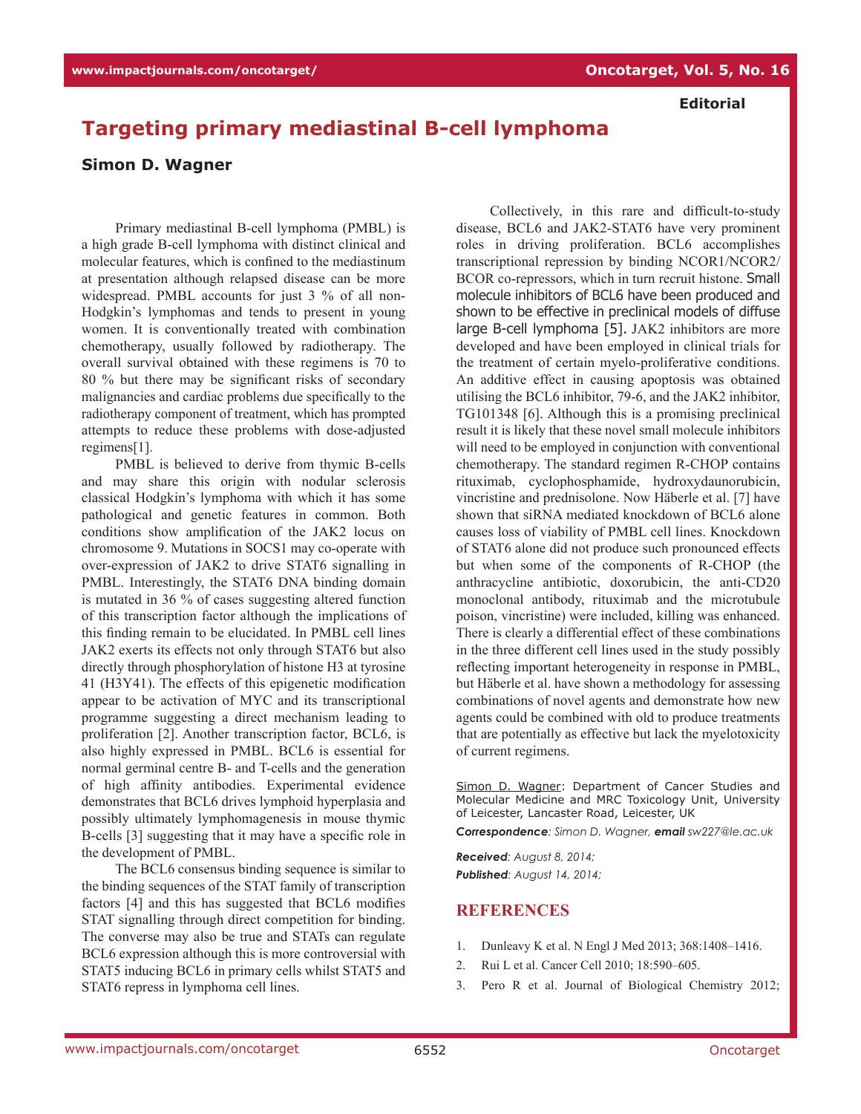## **Editorial**

## **Targeting primary mediastinal B-cell lymphoma**

## **Simon D. Wagner**

Primary mediastinal B-cell lymphoma (PMBL) is a high grade B-cell lymphoma with distinct clinical and molecular features, which is confined to the mediastinum at presentation although relapsed disease can be more widespread. PMBL accounts for just 3 % of all non-Hodgkin's lymphomas and tends to present in young women. It is conventionally treated with combination chemotherapy, usually followed by radiotherapy. The overall survival obtained with these regimens is 70 to 80 % but there may be significant risks of secondary malignancies and cardiac problems due specifically to the radiotherapy component of treatment, which has prompted attempts to reduce these problems with dose-adjusted regimens[1].

PMBL is believed to derive from thymic B-cells and may share this origin with nodular sclerosis classical Hodgkin's lymphoma with which it has some pathological and genetic features in common. Both conditions show amplification of the JAK2 locus on chromosome 9. Mutations in SOCS1 may co-operate with over-expression of JAK2 to drive STAT6 signalling in PMBL. Interestingly, the STAT6 DNA binding domain is mutated in 36 % of cases suggesting altered function of this transcription factor although the implications of this finding remain to be elucidated. In PMBL cell lines JAK2 exerts its effects not only through STAT6 but also directly through phosphorylation of histone H3 at tyrosine 41 (H3Y41). The effects of this epigenetic modification appear to be activation of MYC and its transcriptional programme suggesting a direct mechanism leading to proliferation [2]. Another transcription factor, BCL6, is also highly expressed in PMBL. BCL6 is essential for normal germinal centre B- and T-cells and the generation of high affinity antibodies. Experimental evidence demonstrates that BCL6 drives lymphoid hyperplasia and possibly ultimately lymphomagenesis in mouse thymic B-cells [3] suggesting that it may have a specific role in the development of PMBL.

The BCL6 consensus binding sequence is similar to the binding sequences of the STAT family of transcription factors [4] and this has suggested that BCL6 modifies STAT signalling through direct competition for binding. The converse may also be true and STATs can regulate BCL6 expression although this is more controversial with STAT5 inducing BCL6 in primary cells whilst STAT5 and STAT6 repress in lymphoma cell lines.

Collectively, in this rare and difficult-to-study disease, BCL6 and JAK2-STAT6 have very prominent roles in driving proliferation. BCL6 accomplishes transcriptional repression by binding NCOR1/NCOR2/ BCOR co-repressors, which in turn recruit histone. Small molecule inhibitors of BCL6 have been produced and shown to be effective in preclinical models of diffuse large B-cell lymphoma [5]. JAK2 inhibitors are more developed and have been employed in clinical trials for the treatment of certain myelo-proliferative conditions. An additive effect in causing apoptosis was obtained utilising the BCL6 inhibitor, 79-6, and the JAK2 inhibitor, TG101348 [6]. Although this is a promising preclinical result it is likely that these novel small molecule inhibitors will need to be employed in conjunction with conventional chemotherapy. The standard regimen R-CHOP contains rituximab, cyclophosphamide, hydroxydaunorubicin, vincristine and prednisolone. Now Häberle et al. [7] have shown that siRNA mediated knockdown of BCL6 alone causes loss of viability of PMBL cell lines. Knockdown of STAT6 alone did not produce such pronounced effects but when some of the components of R-CHOP (the anthracycline antibiotic, doxorubicin, the anti-CD20 monoclonal antibody, rituximab and the microtubule poison, vincristine) were included, killing was enhanced. There is clearly a differential effect of these combinations in the three different cell lines used in the study possibly reflecting important heterogeneity in response in PMBL, but Häberle et al. have shown a methodology for assessing combinations of novel agents and demonstrate how new agents could be combined with old to produce treatments that are potentially as effective but lack the myelotoxicity of current regimens.

Simon D. Wagner: Department of Cancer Studies and Molecular Medicine and MRC Toxicology Unit, University of Leicester, Lancaster Road, Leicester, UK

*Correspondence: Simon D. Wagner, email sw227@le.ac.uk*

*Received: August 8, 2014; Published: August 14, 2014;*

## **REFERENCES**

- 1. Dunleavy K et al. N Engl J Med 2013; 368:1408–1416.
- 2. Rui L et al. Cancer Cell 2010; 18:590–605.
- 3. Pero R et al. Journal of Biological Chemistry 2012;